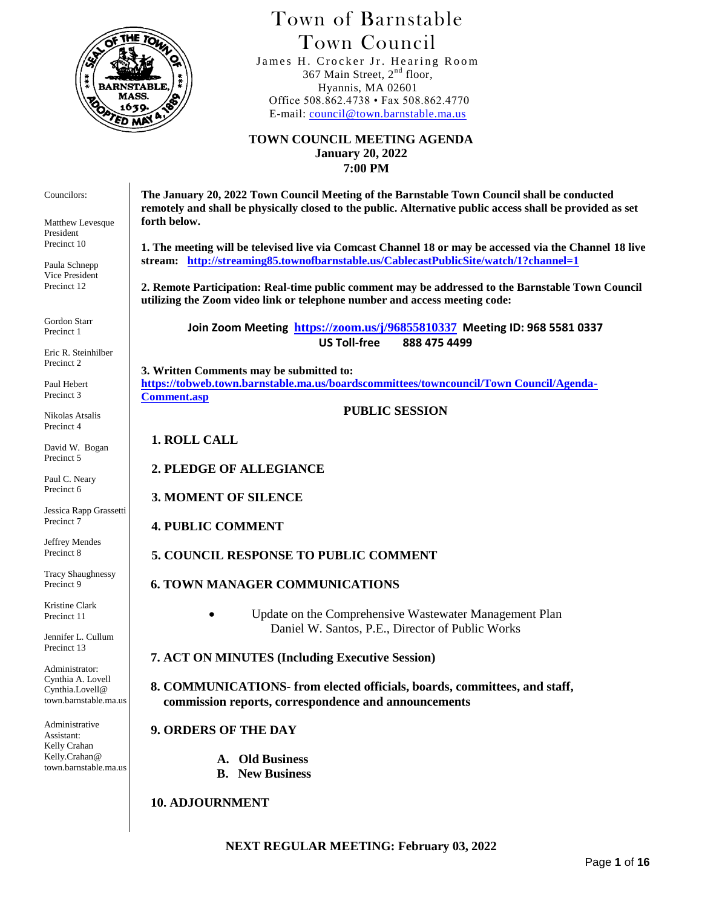

# Town of Barnstable Town Council

 James H. Crocker Jr. Hearing Room 367 Main Street,  $2<sup>nd</sup>$  floor, Hyannis, MA 02601 Office 508.862.4738 • Fax 508.862.4770 E-mail: [council@town.barnstable.ma.us](mailto:council@town.barnstable.ma.us)

**TOWN COUNCIL MEETING AGENDA January 20, 2022 7:00 PM**

**The January 20, 2022 Town Council Meeting of the Barnstable Town Council shall be conducted remotely and shall be physically closed to the public. Alternative public access shall be provided as set forth below.** 

**1. The meeting will be televised live via Comcast Channel 18 or may be accessed via the Channel 18 live stream: <http://streaming85.townofbarnstable.us/CablecastPublicSite/watch/1?channel=1>**

**2. Remote Participation: Real-time public comment may be addressed to the Barnstable Town Council utilizing the Zoom video link or telephone number and access meeting code:**

**Join Zoom Meeting <https://zoom.us/j/96855810337> Meeting ID: 968 5581 0337 US Toll-free 888 475 4499**

**3. Written Comments may be submitted to: [https://tobweb.town.barnstable.ma.us/boardscommittees/towncouncil/Town Council/Agenda-](https://tobweb.town.barnstable.ma.us/boardscommittees/towncouncil/Town%20Council/Agenda-Comment.asp)[Comment.asp](https://tobweb.town.barnstable.ma.us/boardscommittees/towncouncil/Town%20Council/Agenda-Comment.asp)**

**PUBLIC SESSION**

**1. ROLL CALL**

### **2. PLEDGE OF ALLEGIANCE**

**3. MOMENT OF SILENCE**

### **4. PUBLIC COMMENT**

**5. COUNCIL RESPONSE TO PUBLIC COMMENT**

### **6. TOWN MANAGER COMMUNICATIONS**

 Update on the Comprehensive Wastewater Management Plan Daniel W. Santos, P.E., Director of Public Works

 **7. ACT ON MINUTES (Including Executive Session)**

 **8. COMMUNICATIONS- from elected officials, boards, committees, and staff, commission reports, correspondence and announcements**

### **9. ORDERS OF THE DAY**

- **A. Old Business**
- **B. New Business**

### **10. ADJOURNMENT**

**NEXT REGULAR MEETING: February 03, 2022**

Councilors:

Matthew Levesque President Precinct 10

Paula Schnepp Vice President Precinct 12

Gordon Starr Precinct 1

Eric R. Steinhilber Precinct 2

Paul Hebert Precinct 3

Nikolas Atsalis Precinct 4

David W. Bogan Precinct 5

Paul C. Neary Precinct 6

Jessica Rapp Grassetti Precinct 7

Jeffrey Mendes Precinct 8

Tracy Shaughnessy Precinct 9

Kristine Clark Precinct 11

Jennifer L. Cullum Precinct 13

Administrator: Cynthia A. Lovell Cynthia.Lovell@ town.barnstable.ma.us

Administrative Assistant: Kelly Crahan Kelly.Crahan@ town.barnstable.ma.us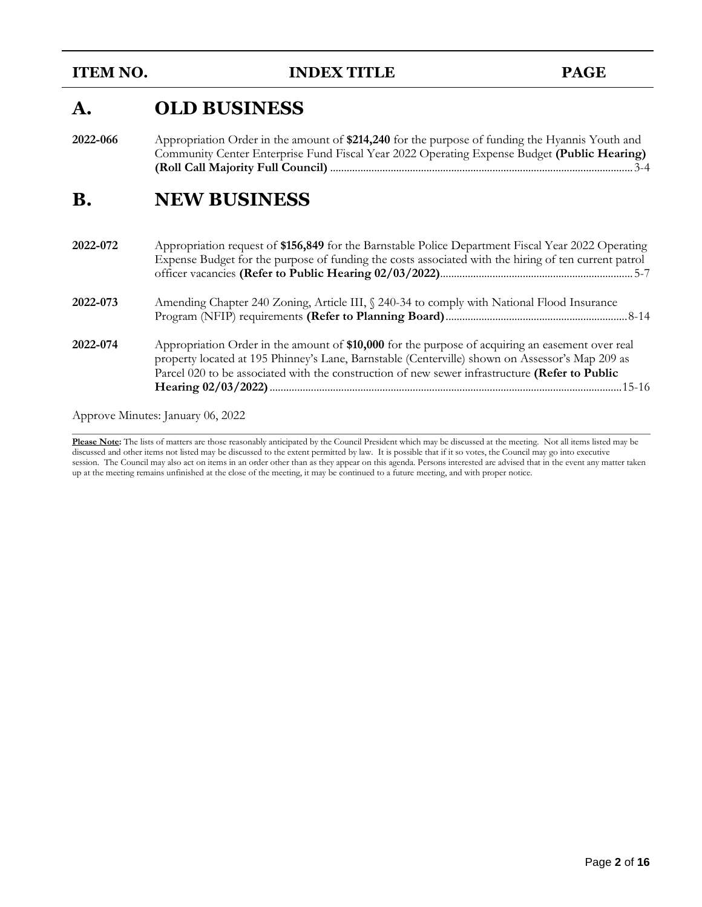**ITEM NO. INDEX TITLE PAGE** 

# **A. OLD BUSINESS**

**2022-066** Appropriation Order in the amount of **\$214,240** for the purpose of funding the Hyannis Youth and Community Center Enterprise Fund Fiscal Year 2022 Operating Expense Budget **(Public Hearing) (Roll Call Majority Full Council)** ..............................................................................................................3-4

# **B. NEW BUSINESS**

| 2022-072 | Appropriation request of \$156,849 for the Barnstable Police Department Fiscal Year 2022 Operating<br>Expense Budget for the purpose of funding the costs associated with the hiring of ten current patrol                                                                                            |
|----------|-------------------------------------------------------------------------------------------------------------------------------------------------------------------------------------------------------------------------------------------------------------------------------------------------------|
| 2022-073 | Amending Chapter 240 Zoning, Article III, § 240-34 to comply with National Flood Insurance                                                                                                                                                                                                            |
| 2022-074 | Appropriation Order in the amount of \$10,000 for the purpose of acquiring an easement over real<br>property located at 195 Phinney's Lane, Barnstable (Centerville) shown on Assessor's Map 209 as<br>Parcel 020 to be associated with the construction of new sewer infrastructure (Refer to Public |

Approve Minutes: January 06, 2022

**Please Note:** The lists of matters are those reasonably anticipated by the Council President which may be discussed at the meeting. Not all items listed may be discussed and other items not listed may be discussed to the extent permitted by law. It is possible that if it so votes, the Council may go into executive session. The Council may also act on items in an order other than as they appear on this agenda. Persons interested are advised that in the event any matter taken up at the meeting remains unfinished at the close of the meeting, it may be continued to a future meeting, and with proper notice.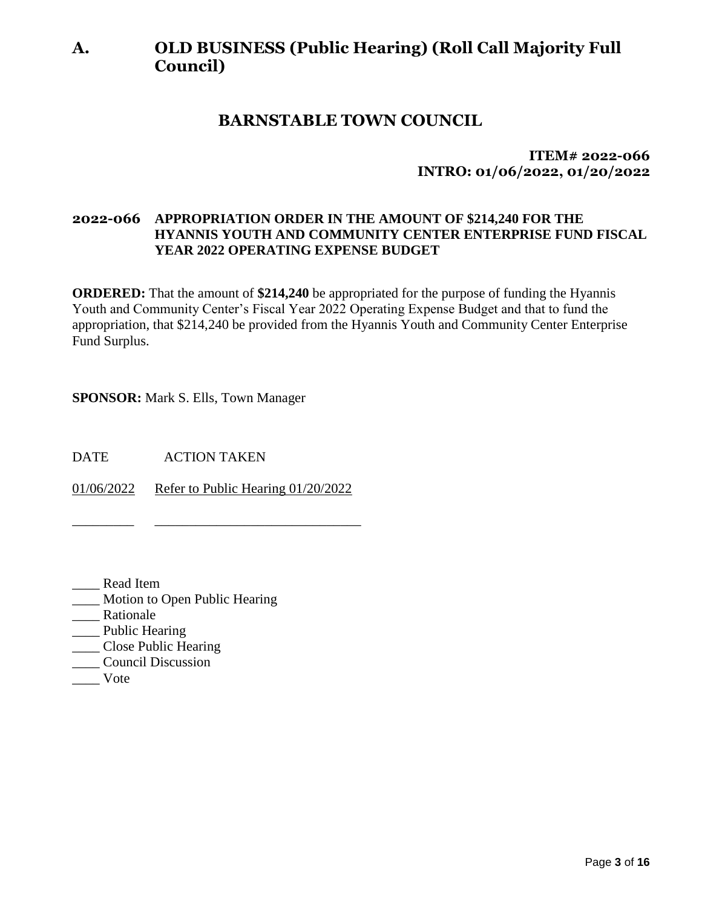# **A. OLD BUSINESS (Public Hearing) (Roll Call Majority Full Council)**

# **BARNSTABLE TOWN COUNCIL**

**ITEM# 2022-066 INTRO: 01/06/2022, 01/20/2022**

# **2022-066 APPROPRIATION ORDER IN THE AMOUNT OF \$214,240 FOR THE HYANNIS YOUTH AND COMMUNITY CENTER ENTERPRISE FUND FISCAL YEAR 2022 OPERATING EXPENSE BUDGET**

**ORDERED:** That the amount of **\$214,240** be appropriated for the purpose of funding the Hyannis Youth and Community Center's Fiscal Year 2022 Operating Expense Budget and that to fund the appropriation, that \$214,240 be provided from the Hyannis Youth and Community Center Enterprise Fund Surplus.

**SPONSOR:** Mark S. Ells, Town Manager

DATE ACTION TAKEN

01/06/2022 Refer to Public Hearing 01/20/2022

\_\_\_\_\_\_\_\_\_ \_\_\_\_\_\_\_\_\_\_\_\_\_\_\_\_\_\_\_\_\_\_\_\_\_\_\_\_\_\_

- \_\_\_\_ Read Item
- \_\_\_\_ Motion to Open Public Hearing
- \_\_\_\_ Rationale
- \_\_\_\_ Public Hearing
- \_\_\_\_ Close Public Hearing
- \_\_\_\_ Council Discussion
- \_\_\_\_ Vote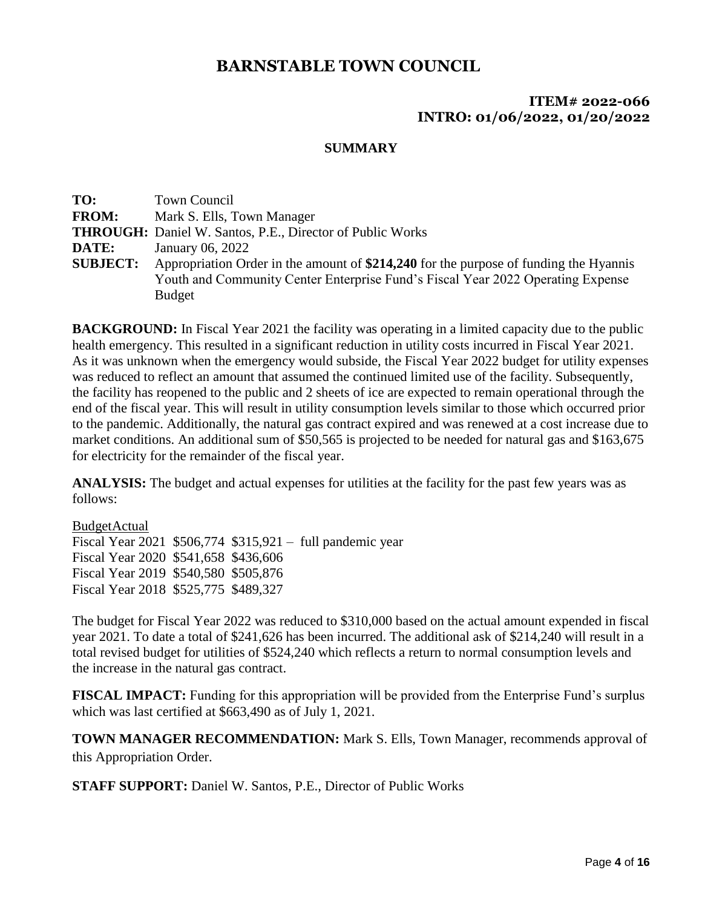### **ITEM# 2022-066 INTRO: 01/06/2022, 01/20/2022**

#### **SUMMARY**

| TO:             | <b>Town Council</b>                                                                   |
|-----------------|---------------------------------------------------------------------------------------|
| <b>FROM:</b>    | Mark S. Ells, Town Manager                                                            |
|                 | <b>THROUGH:</b> Daniel W. Santos, P.E., Director of Public Works                      |
| DATE:           | January 06, 2022                                                                      |
| <b>SUBJECT:</b> | Appropriation Order in the amount of \$214,240 for the purpose of funding the Hyannis |
|                 | Youth and Community Center Enterprise Fund's Fiscal Year 2022 Operating Expense       |
|                 | <b>Budget</b>                                                                         |

**BACKGROUND:** In Fiscal Year 2021 the facility was operating in a limited capacity due to the public health emergency. This resulted in a significant reduction in utility costs incurred in Fiscal Year 2021. As it was unknown when the emergency would subside, the Fiscal Year 2022 budget for utility expenses was reduced to reflect an amount that assumed the continued limited use of the facility. Subsequently, the facility has reopened to the public and 2 sheets of ice are expected to remain operational through the end of the fiscal year. This will result in utility consumption levels similar to those which occurred prior to the pandemic. Additionally, the natural gas contract expired and was renewed at a cost increase due to market conditions. An additional sum of \$50,565 is projected to be needed for natural gas and \$163,675 for electricity for the remainder of the fiscal year.

**ANALYSIS:** The budget and actual expenses for utilities at the facility for the past few years was as follows:

BudgetActual Fiscal Year 2021 \$506,774 \$315,921 – full pandemic year Fiscal Year 2020 \$541,658 \$436,606 Fiscal Year 2019 \$540,580 \$505,876 Fiscal Year 2018 \$525,775 \$489,327

The budget for Fiscal Year 2022 was reduced to \$310,000 based on the actual amount expended in fiscal year 2021. To date a total of \$241,626 has been incurred. The additional ask of \$214,240 will result in a total revised budget for utilities of \$524,240 which reflects a return to normal consumption levels and the increase in the natural gas contract.

**FISCAL IMPACT:** Funding for this appropriation will be provided from the Enterprise Fund's surplus which was last certified at \$663,490 as of July 1, 2021.

**TOWN MANAGER RECOMMENDATION:** Mark S. Ells, Town Manager, recommends approval of this Appropriation Order.

**STAFF SUPPORT:** Daniel W. Santos, P.E., Director of Public Works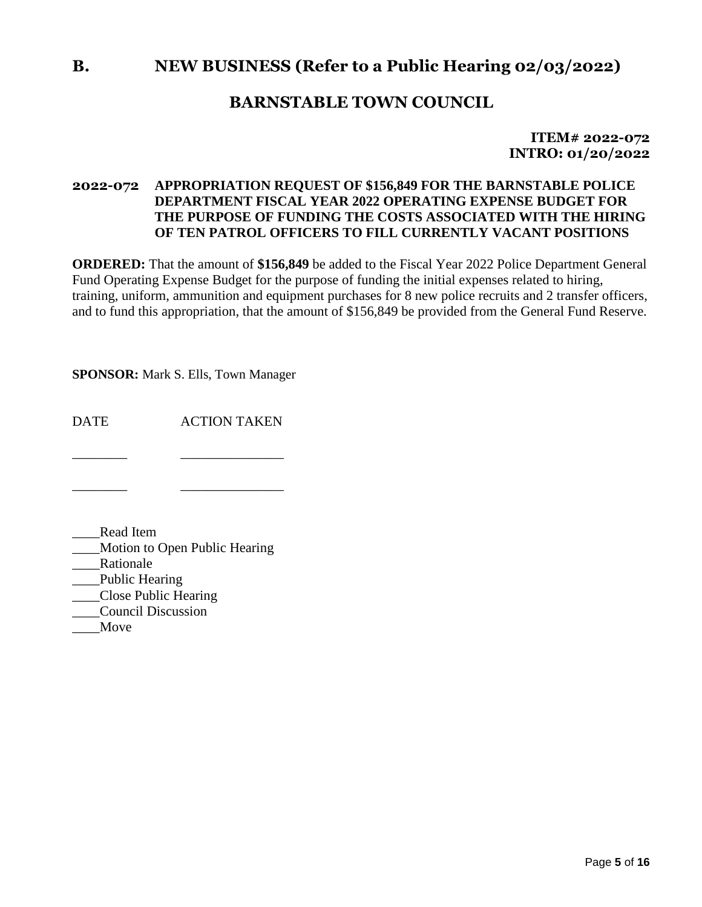# **B. NEW BUSINESS (Refer to a Public Hearing 02/03/2022)**

# **BARNSTABLE TOWN COUNCIL**

**ITEM# 2022-072 INTRO: 01/20/2022**

# **2022-072 APPROPRIATION REQUEST OF \$156,849 FOR THE BARNSTABLE POLICE DEPARTMENT FISCAL YEAR 2022 OPERATING EXPENSE BUDGET FOR THE PURPOSE OF FUNDING THE COSTS ASSOCIATED WITH THE HIRING OF TEN PATROL OFFICERS TO FILL CURRENTLY VACANT POSITIONS**

**ORDERED:** That the amount of **\$156,849** be added to the Fiscal Year 2022 Police Department General Fund Operating Expense Budget for the purpose of funding the initial expenses related to hiring, training, uniform, ammunition and equipment purchases for 8 new police recruits and 2 transfer officers, and to fund this appropriation, that the amount of \$156,849 be provided from the General Fund Reserve.

**SPONSOR:** Mark S. Ells, Town Manager

DATE ACTION TAKEN

\_\_\_\_\_\_\_\_ \_\_\_\_\_\_\_\_\_\_\_\_\_\_\_

\_\_\_\_\_\_\_\_ \_\_\_\_\_\_\_\_\_\_\_\_\_\_\_

\_\_\_\_Read Item

\_\_\_\_Motion to Open Public Hearing

\_\_\_\_Rationale

\_\_\_Public Hearing

\_\_\_\_Close Public Hearing

- \_\_\_\_Council Discussion
- \_\_\_\_Move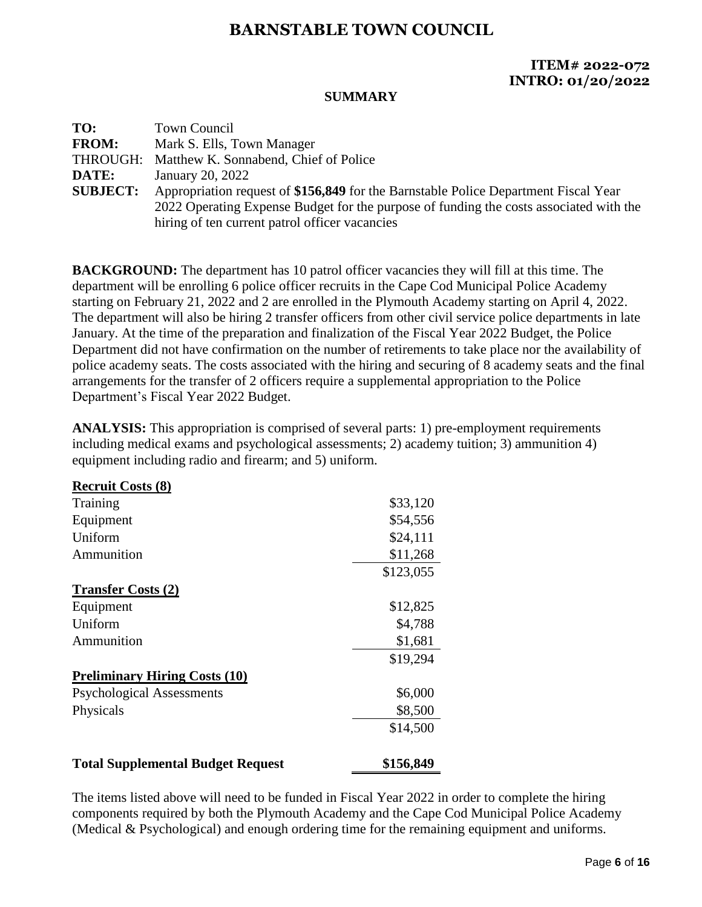# **ITEM# 2022-072 INTRO: 01/20/2022**

#### **SUMMARY**

| TO:             | <b>Town Council</b>                                                                    |
|-----------------|----------------------------------------------------------------------------------------|
| <b>FROM:</b>    | Mark S. Ells, Town Manager                                                             |
| THROUGH:        | Matthew K. Sonnabend, Chief of Police                                                  |
| DATE:           | January 20, 2022                                                                       |
| <b>SUBJECT:</b> | Appropriation request of \$156,849 for the Barnstable Police Department Fiscal Year    |
|                 | 2022 Operating Expense Budget for the purpose of funding the costs associated with the |
|                 | hiring of ten current patrol officer vacancies                                         |

**BACKGROUND:** The department has 10 patrol officer vacancies they will fill at this time. The department will be enrolling 6 police officer recruits in the Cape Cod Municipal Police Academy starting on February 21, 2022 and 2 are enrolled in the Plymouth Academy starting on April 4, 2022. The department will also be hiring 2 transfer officers from other civil service police departments in late January. At the time of the preparation and finalization of the Fiscal Year 2022 Budget, the Police Department did not have confirmation on the number of retirements to take place nor the availability of police academy seats. The costs associated with the hiring and securing of 8 academy seats and the final arrangements for the transfer of 2 officers require a supplemental appropriation to the Police Department's Fiscal Year 2022 Budget.

**ANALYSIS:** This appropriation is comprised of several parts: 1) pre-employment requirements including medical exams and psychological assessments; 2) academy tuition; 3) ammunition 4) equipment including radio and firearm; and 5) uniform.

| <b>Recruit Costs (8)</b>                 |           |
|------------------------------------------|-----------|
| Training                                 | \$33,120  |
| Equipment                                | \$54,556  |
| Uniform                                  | \$24,111  |
| Ammunition                               | \$11,268  |
|                                          | \$123,055 |
| <b>Transfer Costs (2)</b>                |           |
| Equipment                                | \$12,825  |
| Uniform                                  | \$4,788   |
| Ammunition                               | \$1,681   |
|                                          | \$19,294  |
| <b>Preliminary Hiring Costs (10)</b>     |           |
| <b>Psychological Assessments</b>         | \$6,000   |
| Physicals                                | \$8,500   |
|                                          | \$14,500  |
| <b>Total Supplemental Budget Request</b> | \$156,849 |

The items listed above will need to be funded in Fiscal Year 2022 in order to complete the hiring components required by both the Plymouth Academy and the Cape Cod Municipal Police Academy (Medical & Psychological) and enough ordering time for the remaining equipment and uniforms.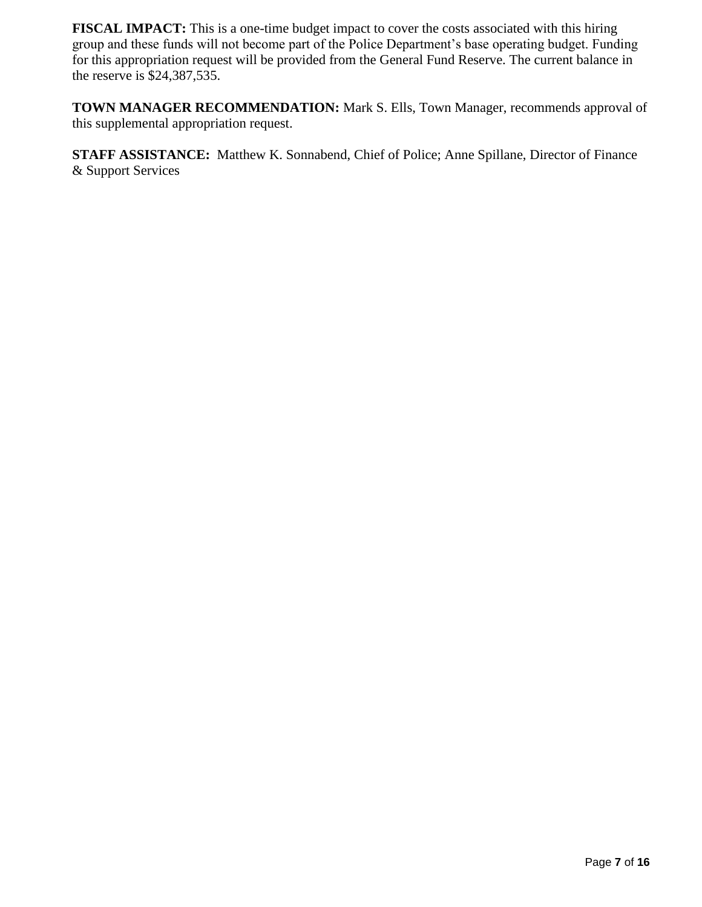**FISCAL IMPACT:** This is a one-time budget impact to cover the costs associated with this hiring group and these funds will not become part of the Police Department's base operating budget. Funding for this appropriation request will be provided from the General Fund Reserve. The current balance in the reserve is \$24,387,535.

**TOWN MANAGER RECOMMENDATION:** Mark S. Ells, Town Manager, recommends approval of this supplemental appropriation request.

**STAFF ASSISTANCE:** Matthew K. Sonnabend, Chief of Police; Anne Spillane, Director of Finance & Support Services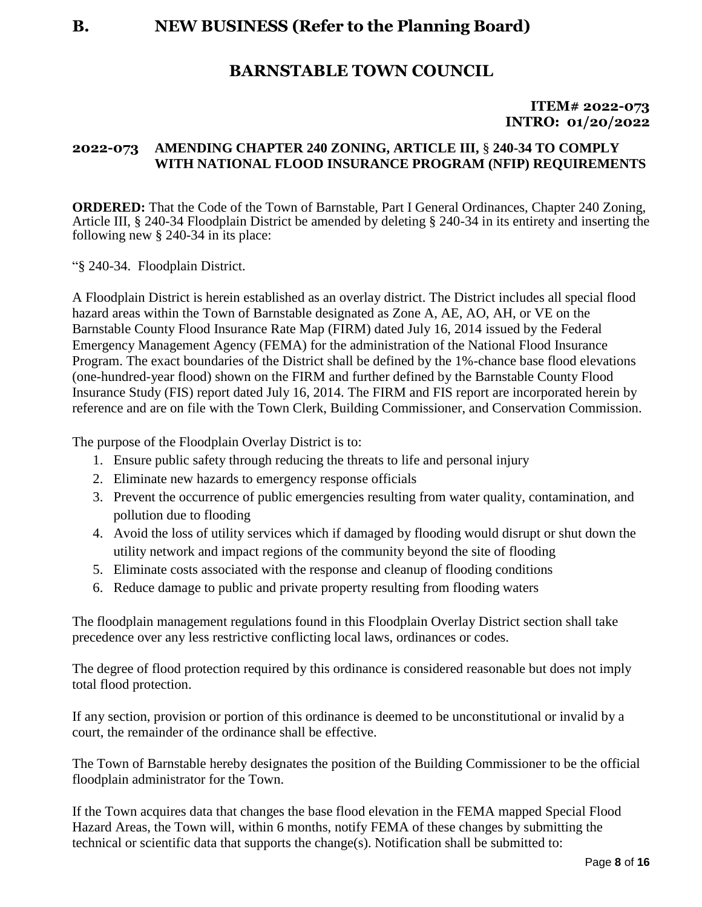#### **ITEM# 2022-073 INTRO: 01/20/2022**

# **2022-073 AMENDING CHAPTER 240 ZONING, ARTICLE III,** § **240-34 TO COMPLY WITH NATIONAL FLOOD INSURANCE PROGRAM (NFIP) REQUIREMENTS**

**ORDERED:** That the Code of the Town of Barnstable, Part I General Ordinances, Chapter 240 Zoning, Article III, § 240-34 Floodplain District be amended by deleting § 240-34 in its entirety and inserting the following new § 240-34 in its place:

"§ 240-34. Floodplain District.

A Floodplain District is herein established as an overlay district. The District includes all special flood hazard areas within the Town of Barnstable designated as Zone A, AE, AO, AH, or VE on the Barnstable County Flood Insurance Rate Map (FIRM) dated July 16, 2014 issued by the Federal Emergency Management Agency (FEMA) for the administration of the National Flood Insurance Program. The exact boundaries of the District shall be defined by the 1%-chance base flood elevations (one-hundred-year flood) shown on the FIRM and further defined by the Barnstable County Flood Insurance Study (FIS) report dated July 16, 2014. The FIRM and FIS report are incorporated herein by reference and are on file with the Town Clerk, Building Commissioner, and Conservation Commission.

The purpose of the Floodplain Overlay District is to:

- 1. Ensure public safety through reducing the threats to life and personal injury
- 2. Eliminate new hazards to emergency response officials
- 3. Prevent the occurrence of public emergencies resulting from water quality, contamination, and pollution due to flooding
- 4. Avoid the loss of utility services which if damaged by flooding would disrupt or shut down the utility network and impact regions of the community beyond the site of flooding
- 5. Eliminate costs associated with the response and cleanup of flooding conditions
- 6. Reduce damage to public and private property resulting from flooding waters

The floodplain management regulations found in this Floodplain Overlay District section shall take precedence over any less restrictive conflicting local laws, ordinances or codes.

The degree of flood protection required by this ordinance is considered reasonable but does not imply total flood protection.

If any section, provision or portion of this ordinance is deemed to be unconstitutional or invalid by a court, the remainder of the ordinance shall be effective.

The Town of Barnstable hereby designates the position of the Building Commissioner to be the official floodplain administrator for the Town.

If the Town acquires data that changes the base flood elevation in the FEMA mapped Special Flood Hazard Areas, the Town will, within 6 months, notify FEMA of these changes by submitting the technical or scientific data that supports the change(s). Notification shall be submitted to: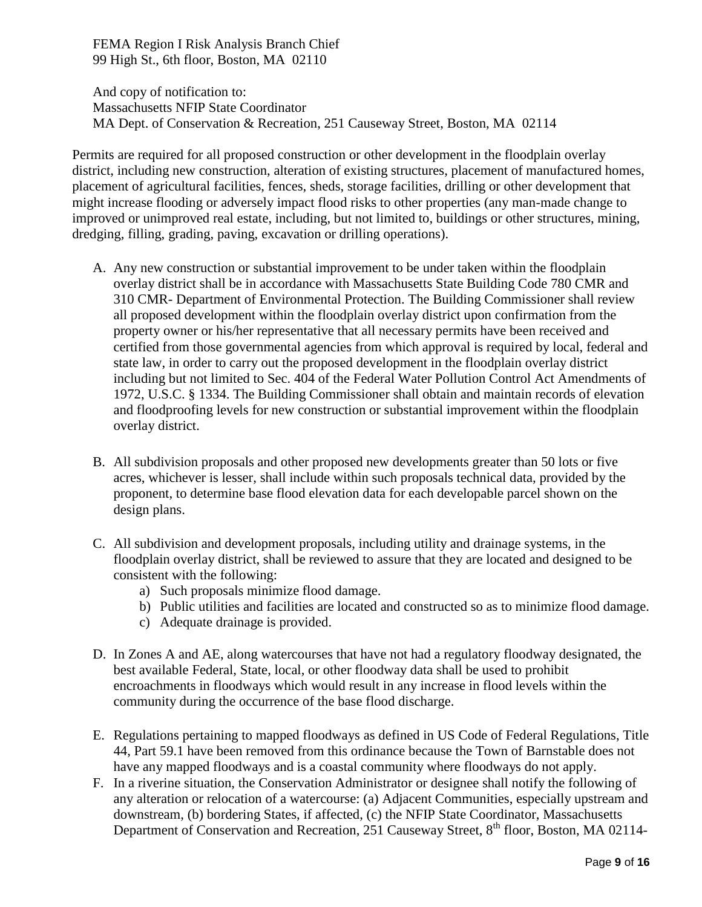FEMA Region I Risk Analysis Branch Chief 99 High St., 6th floor, Boston, MA 02110

And copy of notification to: Massachusetts NFIP State Coordinator MA Dept. of Conservation & Recreation, 251 Causeway Street, Boston, MA 02114

Permits are required for all proposed construction or other development in the floodplain overlay district, including new construction, alteration of existing structures, placement of manufactured homes, placement of agricultural facilities, fences, sheds, storage facilities, drilling or other development that might increase flooding or adversely impact flood risks to other properties (any man-made change to improved or unimproved real estate, including, but not limited to, buildings or other structures, mining, dredging, filling, grading, paving, excavation or drilling operations).

- A. Any new construction or substantial improvement to be under taken within the floodplain overlay district shall be in accordance with Massachusetts State Building Code 780 CMR and 310 CMR- Department of Environmental Protection. The Building Commissioner shall review all proposed development within the floodplain overlay district upon confirmation from the property owner or his/her representative that all necessary permits have been received and certified from those governmental agencies from which approval is required by local, federal and state law, in order to carry out the proposed development in the floodplain overlay district including but not limited to Sec. 404 of the Federal Water Pollution Control Act Amendments of 1972, U.S.C. § 1334. The Building Commissioner shall obtain and maintain records of elevation and floodproofing levels for new construction or substantial improvement within the floodplain overlay district.
- B. All subdivision proposals and other proposed new developments greater than 50 lots or five acres, whichever is lesser, shall include within such proposals technical data, provided by the proponent, to determine base flood elevation data for each developable parcel shown on the design plans.
- C. All subdivision and development proposals, including utility and drainage systems, in the floodplain overlay district, shall be reviewed to assure that they are located and designed to be consistent with the following:
	- a) Such proposals minimize flood damage.
	- b) Public utilities and facilities are located and constructed so as to minimize flood damage.
	- c) Adequate drainage is provided.
- D. In Zones A and AE, along watercourses that have not had a regulatory floodway designated, the best available Federal, State, local, or other floodway data shall be used to prohibit encroachments in floodways which would result in any increase in flood levels within the community during the occurrence of the base flood discharge.
- E. Regulations pertaining to mapped floodways as defined in US Code of Federal Regulations, Title 44, Part 59.1 have been removed from this ordinance because the Town of Barnstable does not have any mapped floodways and is a coastal community where floodways do not apply.
- F. In a riverine situation, the Conservation Administrator or designee shall notify the following of any alteration or relocation of a watercourse: (a) Adjacent Communities, especially upstream and downstream, (b) bordering States, if affected, (c) the NFIP State Coordinator, Massachusetts Department of Conservation and Recreation, 251 Causeway Street, 8<sup>th</sup> floor, Boston, MA 02114-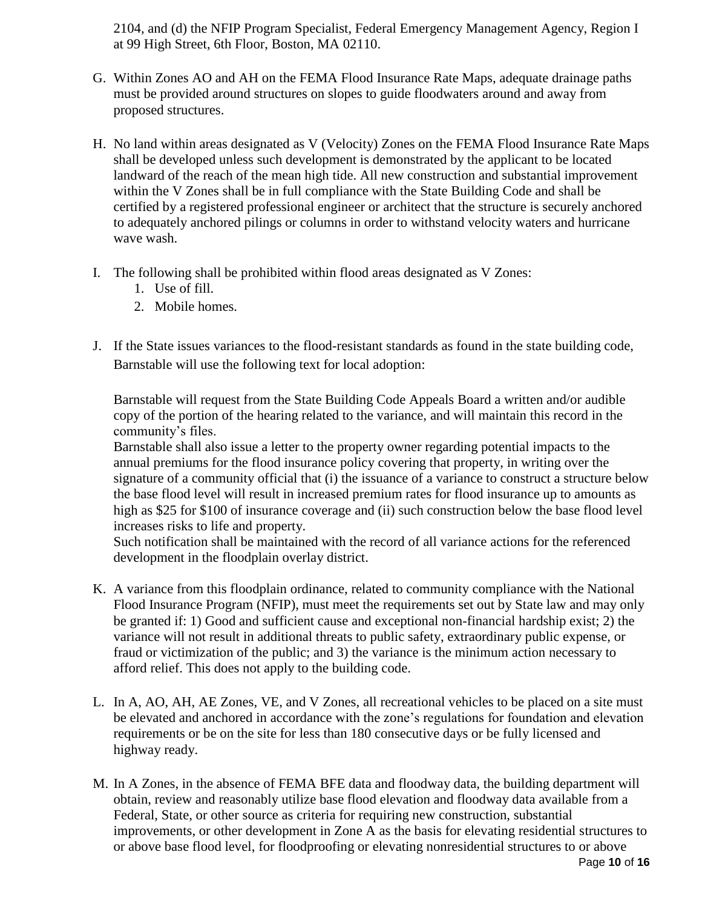2104, and (d) the NFIP Program Specialist, Federal Emergency Management Agency, Region I at 99 High Street, 6th Floor, Boston, MA 02110.

- G. Within Zones AO and AH on the FEMA Flood Insurance Rate Maps, adequate drainage paths must be provided around structures on slopes to guide floodwaters around and away from proposed structures.
- H. No land within areas designated as V (Velocity) Zones on the FEMA Flood Insurance Rate Maps shall be developed unless such development is demonstrated by the applicant to be located landward of the reach of the mean high tide. All new construction and substantial improvement within the V Zones shall be in full compliance with the State Building Code and shall be certified by a registered professional engineer or architect that the structure is securely anchored to adequately anchored pilings or columns in order to withstand velocity waters and hurricane wave wash.
- I. The following shall be prohibited within flood areas designated as V Zones:
	- 1. Use of fill.
	- 2. Mobile homes.
- J. If the State issues variances to the flood-resistant standards as found in the state building code, Barnstable will use the following text for local adoption:

Barnstable will request from the State Building Code Appeals Board a written and/or audible copy of the portion of the hearing related to the variance, and will maintain this record in the community's files.

Barnstable shall also issue a letter to the property owner regarding potential impacts to the annual premiums for the flood insurance policy covering that property, in writing over the signature of a community official that (i) the issuance of a variance to construct a structure below the base flood level will result in increased premium rates for flood insurance up to amounts as high as \$25 for \$100 of insurance coverage and (ii) such construction below the base flood level increases risks to life and property.

Such notification shall be maintained with the record of all variance actions for the referenced development in the floodplain overlay district.

- K. A variance from this floodplain ordinance, related to community compliance with the National Flood Insurance Program (NFIP), must meet the requirements set out by State law and may only be granted if: 1) Good and sufficient cause and exceptional non-financial hardship exist; 2) the variance will not result in additional threats to public safety, extraordinary public expense, or fraud or victimization of the public; and 3) the variance is the minimum action necessary to afford relief. This does not apply to the building code.
- L. In A, AO, AH, AE Zones, VE, and V Zones, all recreational vehicles to be placed on a site must be elevated and anchored in accordance with the zone's regulations for foundation and elevation requirements or be on the site for less than 180 consecutive days or be fully licensed and highway ready.
- M. In A Zones, in the absence of FEMA BFE data and floodway data, the building department will obtain, review and reasonably utilize base flood elevation and floodway data available from a Federal, State, or other source as criteria for requiring new construction, substantial improvements, or other development in Zone A as the basis for elevating residential structures to or above base flood level, for floodproofing or elevating nonresidential structures to or above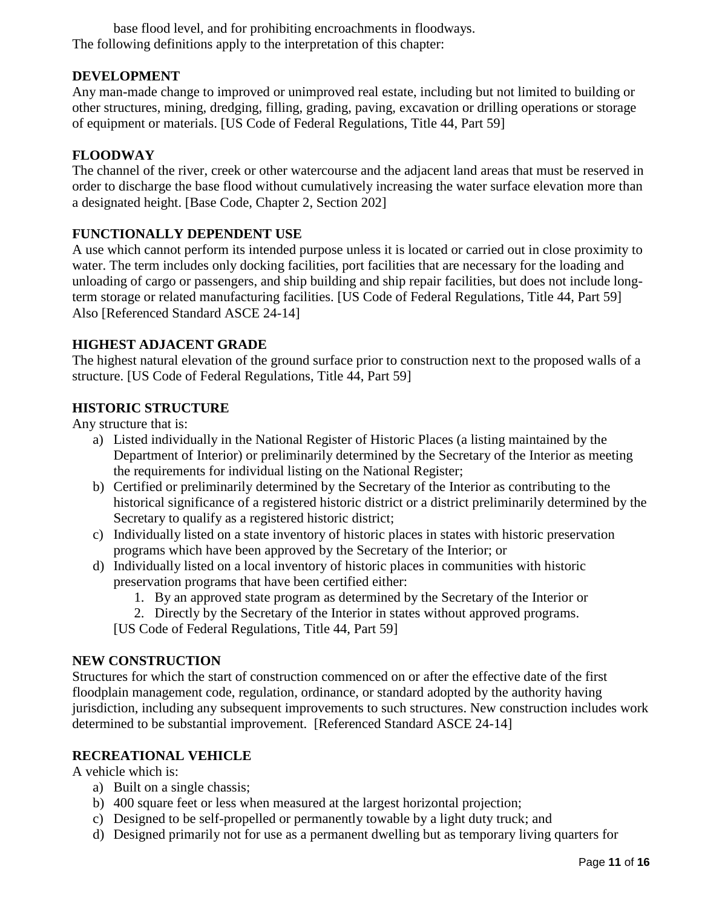base flood level, and for prohibiting encroachments in floodways. The following definitions apply to the interpretation of this chapter:

# **DEVELOPMENT**

Any man-made change to improved or unimproved real estate, including but not limited to building or other structures, mining, dredging, filling, grading, paving, excavation or drilling operations or storage of equipment or materials. [US Code of Federal Regulations, Title 44, Part 59]

# **FLOODWAY**

The channel of the river, creek or other watercourse and the adjacent land areas that must be reserved in order to discharge the base flood without cumulatively increasing the water surface elevation more than a designated height. [Base Code, Chapter 2, Section 202]

### **FUNCTIONALLY DEPENDENT USE**

A use which cannot perform its intended purpose unless it is located or carried out in close proximity to water. The term includes only docking facilities, port facilities that are necessary for the loading and unloading of cargo or passengers, and ship building and ship repair facilities, but does not include longterm storage or related manufacturing facilities. [US Code of Federal Regulations, Title 44, Part 59] Also [Referenced Standard ASCE 24-14]

#### **HIGHEST ADJACENT GRADE**

The highest natural elevation of the ground surface prior to construction next to the proposed walls of a structure. [US Code of Federal Regulations, Title 44, Part 59]

#### **HISTORIC STRUCTURE**

Any structure that is:

- a) Listed individually in the National Register of Historic Places (a listing maintained by the Department of Interior) or preliminarily determined by the Secretary of the Interior as meeting the requirements for individual listing on the National Register;
- b) Certified or preliminarily determined by the Secretary of the Interior as contributing to the historical significance of a registered historic district or a district preliminarily determined by the Secretary to qualify as a registered historic district;
- c) Individually listed on a state inventory of historic places in states with historic preservation programs which have been approved by the Secretary of the Interior; or
- d) Individually listed on a local inventory of historic places in communities with historic preservation programs that have been certified either:
	- 1. By an approved state program as determined by the Secretary of the Interior or
	- 2. Directly by the Secretary of the Interior in states without approved programs.
	- [US Code of Federal Regulations, Title 44, Part 59]

#### **NEW CONSTRUCTION**

Structures for which the start of construction commenced on or after the effective date of the first floodplain management code, regulation, ordinance, or standard adopted by the authority having jurisdiction, including any subsequent improvements to such structures. New construction includes work determined to be substantial improvement. [Referenced Standard ASCE 24-14]

#### **RECREATIONAL VEHICLE**

A vehicle which is:

- a) Built on a single chassis;
- b) 400 square feet or less when measured at the largest horizontal projection;
- c) Designed to be self-propelled or permanently towable by a light duty truck; and
- d) Designed primarily not for use as a permanent dwelling but as temporary living quarters for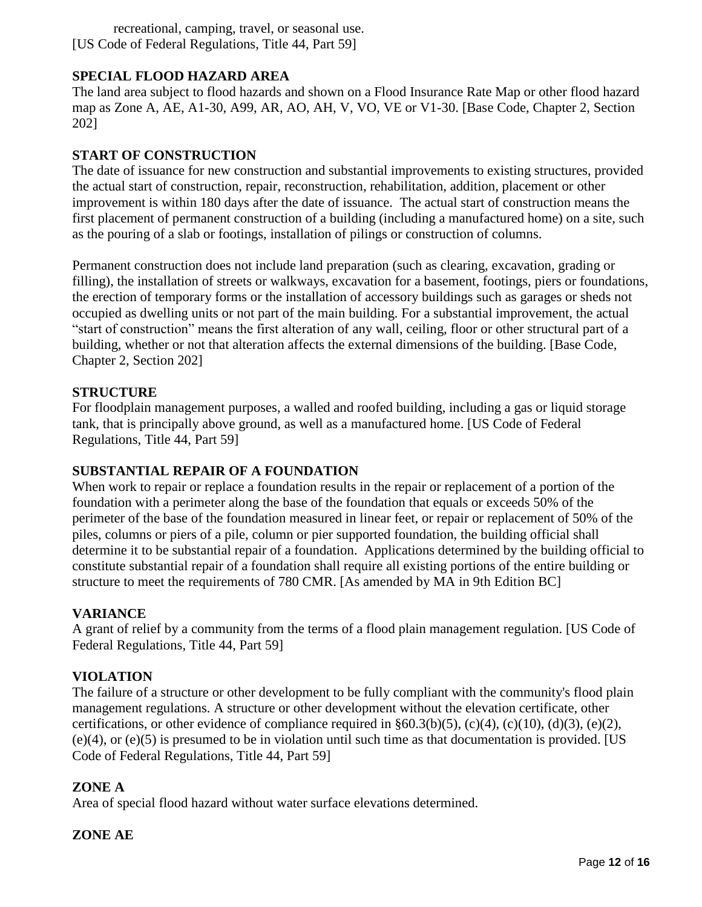recreational, camping, travel, or seasonal use. [US Code of Federal Regulations, Title 44, Part 59]

# **SPECIAL FLOOD HAZARD AREA**

The land area subject to flood hazards and shown on a Flood Insurance Rate Map or other flood hazard map as Zone A, AE, A1-30, A99, AR, AO, AH, V, VO, VE or V1-30. [Base Code, Chapter 2, Section 202]

# **START OF CONSTRUCTION**

The date of issuance for new construction and substantial improvements to existing structures, provided the actual start of construction, repair, reconstruction, rehabilitation, addition, placement or other improvement is within 180 days after the date of issuance. The actual start of construction means the first placement of permanent construction of a building (including a manufactured home) on a site, such as the pouring of a slab or footings, installation of pilings or construction of columns.

Permanent construction does not include land preparation (such as clearing, excavation, grading or filling), the installation of streets or walkways, excavation for a basement, footings, piers or foundations, the erection of temporary forms or the installation of accessory buildings such as garages or sheds not occupied as dwelling units or not part of the main building. For a substantial improvement, the actual "start of construction" means the first alteration of any wall, ceiling, floor or other structural part of a building, whether or not that alteration affects the external dimensions of the building. [Base Code, Chapter 2, Section 202]

# **STRUCTURE**

For floodplain management purposes, a walled and roofed building, including a gas or liquid storage tank, that is principally above ground, as well as a manufactured home. [US Code of Federal Regulations, Title 44, Part 59]

# **SUBSTANTIAL REPAIR OF A FOUNDATION**

When work to repair or replace a foundation results in the repair or replacement of a portion of the foundation with a perimeter along the base of the foundation that equals or exceeds 50% of the perimeter of the base of the foundation measured in linear feet, or repair or replacement of 50% of the piles, columns or piers of a pile, column or pier supported foundation, the building official shall determine it to be substantial repair of a foundation. Applications determined by the building official to constitute substantial repair of a foundation shall require all existing portions of the entire building or structure to meet the requirements of 780 CMR. [As amended by MA in 9th Edition BC]

# **VARIANCE**

A grant of relief by a community from the terms of a flood plain management regulation. [US Code of Federal Regulations, Title 44, Part 59]

# **VIOLATION**

The failure of a structure or other development to be fully compliant with the community's flood plain management regulations. A structure or other development without the elevation certificate, other certifications, or other evidence of compliance required in  $\S 60.3(b)(5)$ , (c)(4), (c)(10), (d)(3), (e)(2), (e)(4), or (e)(5) is presumed to be in violation until such time as that documentation is provided. [US Code of Federal Regulations, Title 44, Part 59]

# **ZONE A**

Area of special flood hazard without water surface elevations determined.

# **ZONE AE**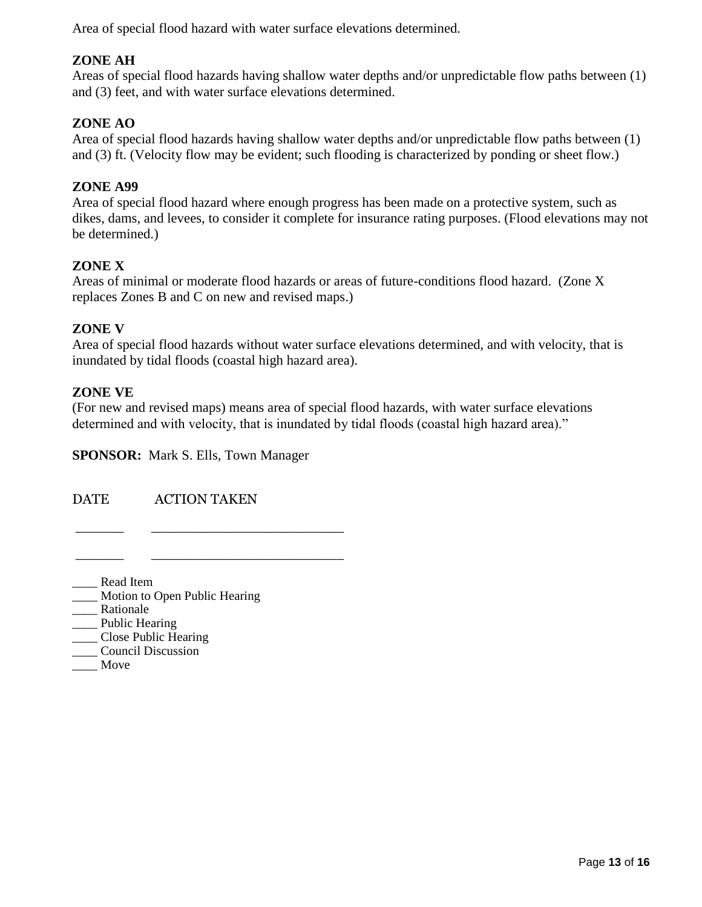Area of special flood hazard with water surface elevations determined.

# **ZONE AH**

Areas of special flood hazards having shallow water depths and/or unpredictable flow paths between (1) and (3) feet, and with water surface elevations determined.

# **ZONE AO**

Area of special flood hazards having shallow water depths and/or unpredictable flow paths between (1) and (3) ft. (Velocity flow may be evident; such flooding is characterized by ponding or sheet flow.)

### **ZONE A99**

Area of special flood hazard where enough progress has been made on a protective system, such as dikes, dams, and levees, to consider it complete for insurance rating purposes. (Flood elevations may not be determined.)

### **ZONE X**

Areas of minimal or moderate flood hazards or areas of future-conditions flood hazard. (Zone X replaces Zones B and C on new and revised maps.)

# **ZONE V**

Area of special flood hazards without water surface elevations determined, and with velocity, that is inundated by tidal floods (coastal high hazard area).

### **ZONE VE**

(For new and revised maps) means area of special flood hazards, with water surface elevations determined and with velocity, that is inundated by tidal floods (coastal high hazard area)."

**SPONSOR:** Mark S. Ells, Town Manager

\_\_\_\_\_\_\_ \_\_\_\_\_\_\_\_\_\_\_\_\_\_\_\_\_\_\_\_\_\_\_\_\_\_\_\_

\_\_\_\_\_\_\_ \_\_\_\_\_\_\_\_\_\_\_\_\_\_\_\_\_\_\_\_\_\_\_\_\_\_\_\_

DATE ACTION TAKEN

\_\_\_\_ Read Item \_\_\_\_ Motion to Open Public Hearing \_\_\_\_ Rationale \_\_\_\_\_ Public Hearing \_\_\_\_ Close Public Hearing

- \_\_\_\_ Council Discussion
-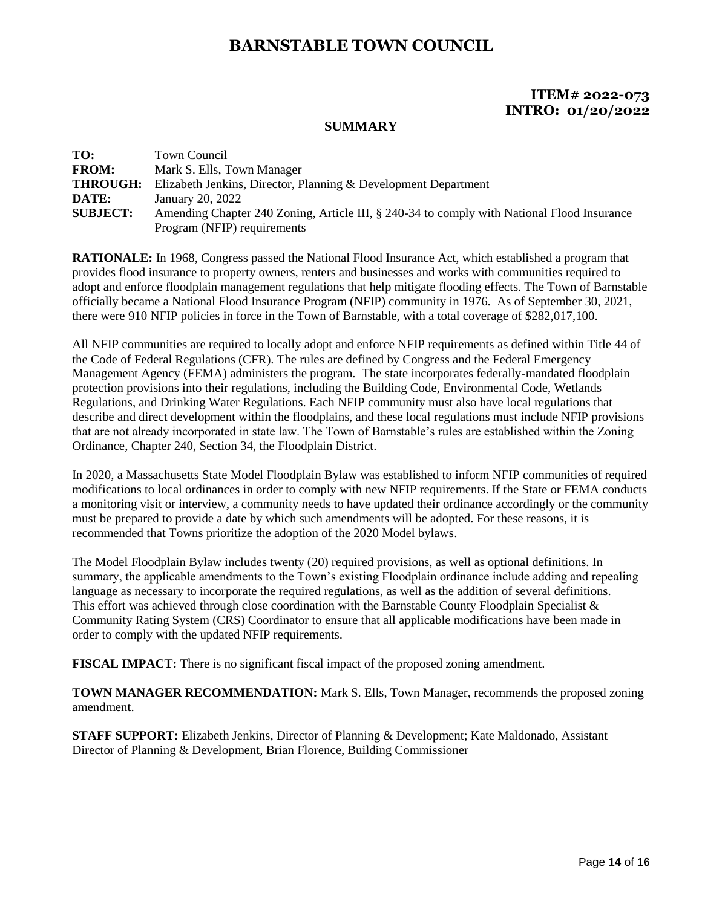# **ITEM# 2022-073 INTRO: 01/20/2022**

#### **SUMMARY**

| TO:             | Town Council                                                                               |
|-----------------|--------------------------------------------------------------------------------------------|
| <b>FROM:</b>    | Mark S. Ells, Town Manager                                                                 |
| <b>THROUGH:</b> | Elizabeth Jenkins, Director, Planning & Development Department                             |
| DATE:           | January 20, 2022                                                                           |
| <b>SUBJECT:</b> | Amending Chapter 240 Zoning, Article III, § 240-34 to comply with National Flood Insurance |
|                 | Program (NFIP) requirements                                                                |

**RATIONALE:** In 1968, Congress passed the National Flood Insurance Act, which established a program that provides flood insurance to property owners, renters and businesses and works with communities required to adopt and enforce floodplain management regulations that help mitigate flooding effects. The Town of Barnstable officially became a National Flood Insurance Program (NFIP) community in 1976. As of September 30, 2021, there were 910 NFIP policies in force in the Town of Barnstable, with a total coverage of \$282,017,100.

All NFIP communities are required to locally adopt and enforce NFIP requirements as defined within Title 44 of the Code of Federal Regulations (CFR). The rules are defined by Congress and the Federal Emergency Management Agency (FEMA) administers the program. The state incorporates federally-mandated floodplain protection provisions into their regulations, including the Building Code, Environmental Code, Wetlands Regulations, and Drinking Water Regulations. Each NFIP community must also have local regulations that describe and direct development within the floodplains, and these local regulations must include NFIP provisions that are not already incorporated in state law. The Town of Barnstable's rules are established within the Zoning Ordinance, [Chapter 240, Section 34, the Floodplain District.](https://ecode360.com/6559151)

In 2020, a Massachusetts State Model Floodplain Bylaw was established to inform NFIP communities of required modifications to local ordinances in order to comply with new NFIP requirements. If the State or FEMA conducts a monitoring visit or interview, a community needs to have updated their ordinance accordingly or the community must be prepared to provide a date by which such amendments will be adopted. For these reasons, it is recommended that Towns prioritize the adoption of the 2020 Model bylaws.

The Model Floodplain Bylaw includes twenty (20) required provisions, as well as optional definitions. In summary, the applicable amendments to the Town's existing Floodplain ordinance include adding and repealing language as necessary to incorporate the required regulations, as well as the addition of several definitions. This effort was achieved through close coordination with the Barnstable County Floodplain Specialist  $\&$ Community Rating System (CRS) Coordinator to ensure that all applicable modifications have been made in order to comply with the updated NFIP requirements.

**FISCAL IMPACT:** There is no significant fiscal impact of the proposed zoning amendment.

**TOWN MANAGER RECOMMENDATION:** Mark S. Ells, Town Manager, recommends the proposed zoning amendment.

**STAFF SUPPORT:** Elizabeth Jenkins, Director of Planning & Development; Kate Maldonado, Assistant Director of Planning & Development, Brian Florence, Building Commissioner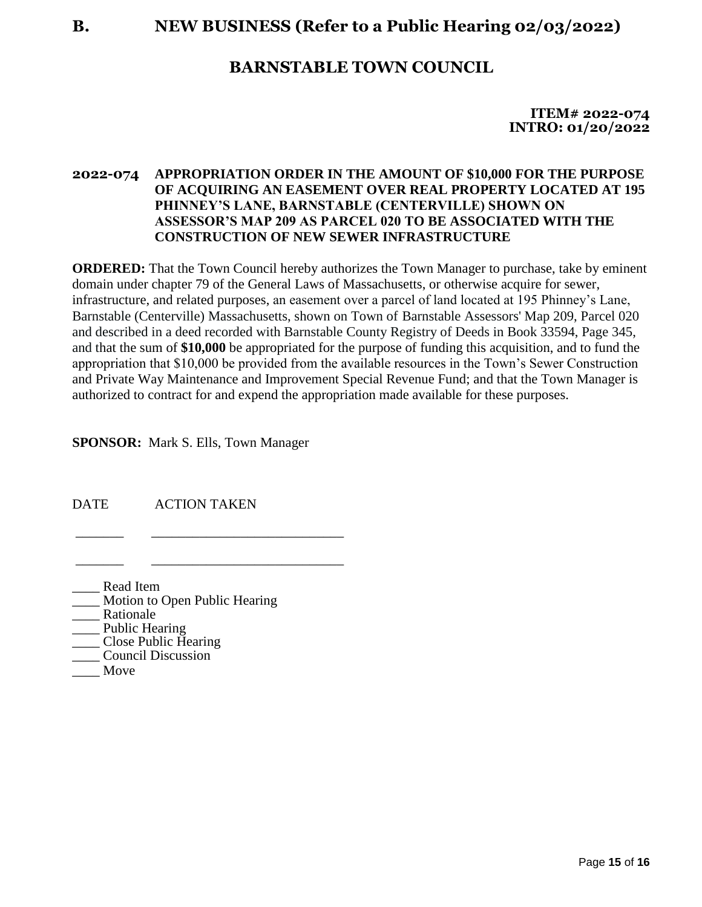**B. NEW BUSINESS (Refer to a Public Hearing 02/03/2022)**

# **BARNSTABLE TOWN COUNCIL**

**ITEM# 2022-074 INTRO: 01/20/2022**

# **2022-074 APPROPRIATION ORDER IN THE AMOUNT OF \$10,000 FOR THE PURPOSE OF ACQUIRING AN EASEMENT OVER REAL PROPERTY LOCATED AT 195 PHINNEY'S LANE, BARNSTABLE (CENTERVILLE) SHOWN ON ASSESSOR'S MAP 209 AS PARCEL 020 TO BE ASSOCIATED WITH THE CONSTRUCTION OF NEW SEWER INFRASTRUCTURE**

**ORDERED:** That the Town Council hereby authorizes the Town Manager to purchase, take by eminent domain under chapter 79 of the General Laws of Massachusetts, or otherwise acquire for sewer, infrastructure, and related purposes, an easement over a parcel of land located at 195 Phinney's Lane, Barnstable (Centerville) Massachusetts, shown on Town of Barnstable Assessors' Map 209, Parcel 020 and described in a deed recorded with Barnstable County Registry of Deeds in Book 33594, Page 345, and that the sum of **\$10,000** be appropriated for the purpose of funding this acquisition, and to fund the appropriation that \$10,000 be provided from the available resources in the Town's Sewer Construction and Private Way Maintenance and Improvement Special Revenue Fund; and that the Town Manager is authorized to contract for and expend the appropriation made available for these purposes.

**SPONSOR:** Mark S. Ells, Town Manager

\_\_\_\_\_\_\_ \_\_\_\_\_\_\_\_\_\_\_\_\_\_\_\_\_\_\_\_\_\_\_\_\_\_\_\_

\_\_\_\_\_\_\_ \_\_\_\_\_\_\_\_\_\_\_\_\_\_\_\_\_\_\_\_\_\_\_\_\_\_\_\_

DATE ACTION TAKEN

\_\_\_\_ Read Item

- Motion to Open Public Hearing
- Rationale
- \_\_\_\_ Public Hearing
- \_\_\_\_ Close Public Hearing \_\_\_\_ Council Discussion
- 
- \_\_\_\_ Move